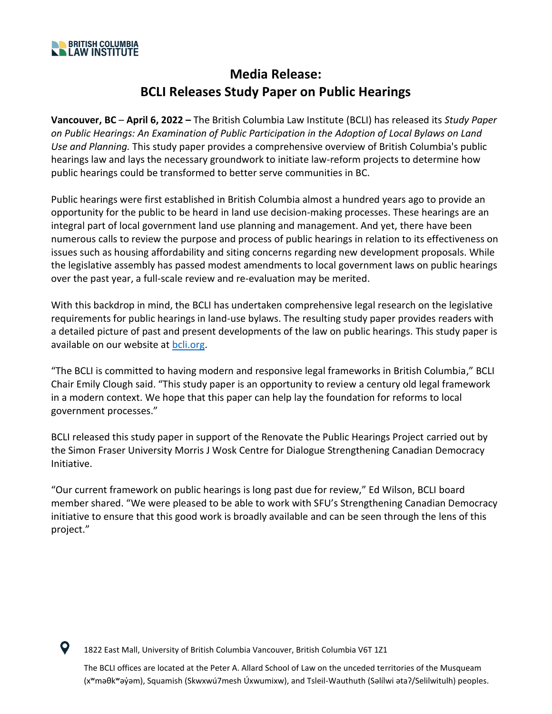

 $\mathbf Q$ 

## **Media Release: BCLI Releases Study Paper on Public Hearings**

**Vancouver, BC** – **April 6, 2022 –** The British Columbia Law Institute (BCLI) has released its *Study Paper on Public Hearings: An Examination of Public Participation in the Adoption of Local Bylaws on Land Use and Planning.* This study paper provides a comprehensive overview of British Columbia's public hearings law and lays the necessary groundwork to initiate law-reform projects to determine how public hearings could be transformed to better serve communities in BC.

Public hearings were first established in British Columbia almost a hundred years ago to provide an opportunity for the public to be heard in land use decision-making processes. These hearings are an integral part of local government land use planning and management. And yet, there have been numerous calls to review the purpose and process of public hearings in relation to its effectiveness on issues such as housing affordability and siting concerns regarding new development proposals. While the legislative assembly has passed modest amendments to local government laws on public hearings over the past year, a full-scale review and re-evaluation may be merited.

With this backdrop in mind, the BCLI has undertaken comprehensive legal research on the legislative requirements for public hearings in land-use bylaws. The resulting study paper provides readers with a detailed picture of past and present developments of the law on public hearings. This study paper is available on our website at [bcli.org.](http://www.bcli.org/)

"The BCLI is committed to having modern and responsive legal frameworks in British Columbia," BCLI Chair Emily Clough said. "This study paper is an opportunity to review a century old legal framework in a modern context. We hope that this paper can help lay the foundation for reforms to local government processes."

BCLI released this study paper in support of the Renovate the Public Hearings Project carried out by the Simon Fraser University Morris J Wosk Centre for Dialogue Strengthening Canadian Democracy Initiative.

"Our current framework on public hearings is long past due for review," Ed Wilson, BCLI board member shared. "We were pleased to be able to work with SFU's Strengthening Canadian Democracy initiative to ensure that this good work is broadly available and can be seen through the lens of this project."

1822 East Mall, University of British Columbia Vancouver, British Columbia V6T 1Z1

The BCLI offices are located at the Peter A. Allard School of Law on the unceded territories of the Musqueam (xʷmәθkʷәy̓әm), Squamish (Skwxwú7mesh Úxwumixw), and Tsleil-Wauthuth (Sәlílwi әtaʔ/Selilwitulh) peoples.